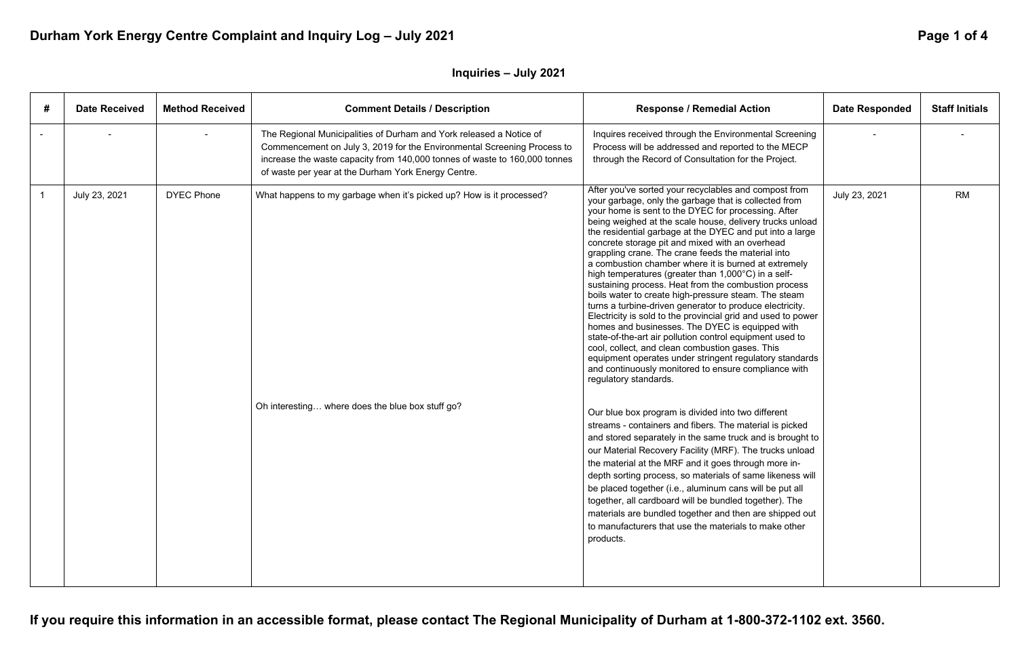**If you require this information in an accessible format, please contact The Regional Municipality of Durham at 1-800-372-1102 ext. 3560.** 

# Durham York Energy Centre Complaint and Inquiry Log - July 2021 **Page 1 of 4 Page 1 of 4**

## **Inquiries – July 2021**

| #                       | <b>Date Received</b> | <b>Method Received</b> | <b>Comment Details / Description</b>                                                                                                                                                                                                                                                | <b>Response / Remedial Action</b>                                                                                                                                                                                                                                                                                                                                                                                                                                                                                                                                                                                                                                                                                                                                                                                                                                                                                                                                                                                                                                               | <b>Date Responded</b> | <b>Staff Initials</b> |
|-------------------------|----------------------|------------------------|-------------------------------------------------------------------------------------------------------------------------------------------------------------------------------------------------------------------------------------------------------------------------------------|---------------------------------------------------------------------------------------------------------------------------------------------------------------------------------------------------------------------------------------------------------------------------------------------------------------------------------------------------------------------------------------------------------------------------------------------------------------------------------------------------------------------------------------------------------------------------------------------------------------------------------------------------------------------------------------------------------------------------------------------------------------------------------------------------------------------------------------------------------------------------------------------------------------------------------------------------------------------------------------------------------------------------------------------------------------------------------|-----------------------|-----------------------|
|                         |                      |                        | The Regional Municipalities of Durham and York released a Notice of<br>Commencement on July 3, 2019 for the Environmental Screening Process to<br>increase the waste capacity from 140,000 tonnes of waste to 160,000 tonnes<br>of waste per year at the Durham York Energy Centre. | Inquires received through the Environmental Screening<br>Process will be addressed and reported to the MECP<br>through the Record of Consultation for the Project.                                                                                                                                                                                                                                                                                                                                                                                                                                                                                                                                                                                                                                                                                                                                                                                                                                                                                                              |                       |                       |
| $\overline{\mathbf{1}}$ | July 23, 2021        | <b>DYEC Phone</b>      | What happens to my garbage when it's picked up? How is it processed?                                                                                                                                                                                                                | After you've sorted your recyclables and compost from<br>your garbage, only the garbage that is collected from<br>your home is sent to the DYEC for processing. After<br>being weighed at the scale house, delivery trucks unload<br>the residential garbage at the DYEC and put into a large<br>concrete storage pit and mixed with an overhead<br>grappling crane. The crane feeds the material into<br>a combustion chamber where it is burned at extremely<br>high temperatures (greater than 1,000°C) in a self-<br>sustaining process. Heat from the combustion process<br>boils water to create high-pressure steam. The steam<br>turns a turbine-driven generator to produce electricity.<br>Electricity is sold to the provincial grid and used to power<br>homes and businesses. The DYEC is equipped with<br>state-of-the-art air pollution control equipment used to<br>cool, collect, and clean combustion gases. This<br>equipment operates under stringent regulatory standards<br>and continuously monitored to ensure compliance with<br>regulatory standards. | July 23, 2021         | <b>RM</b>             |
|                         |                      |                        | Oh interesting where does the blue box stuff go?                                                                                                                                                                                                                                    | Our blue box program is divided into two different<br>streams - containers and fibers. The material is picked<br>and stored separately in the same truck and is brought to<br>our Material Recovery Facility (MRF). The trucks unload<br>the material at the MRF and it goes through more in-<br>depth sorting process, so materials of same likeness will<br>be placed together (i.e., aluminum cans will be put all<br>together, all cardboard will be bundled together). The<br>materials are bundled together and then are shipped out<br>to manufacturers that use the materials to make other<br>products.                                                                                                                                                                                                                                                                                                                                                                                                                                                                |                       |                       |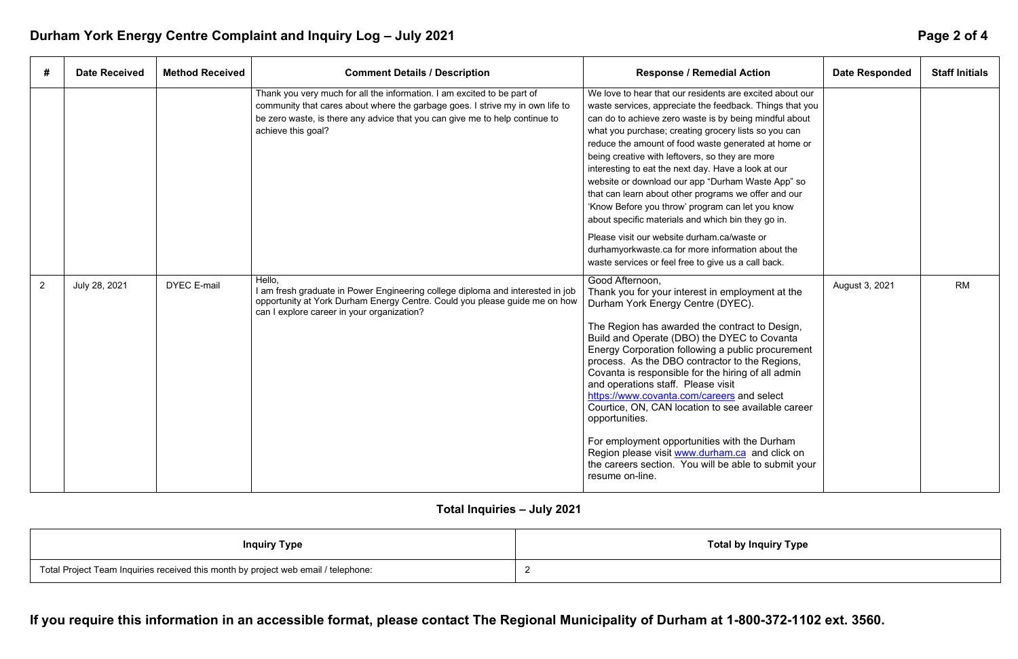**If you require this information in an accessible format, please contact The Regional Municipality of Durham at 1-800-372-1102 ext. 3560.** 

# **Inquiry Type**

# Durham York Energy Centre Complaint and Inquiry Log - July 2021 **Page 2 of 4 Page 2 of 4**

| #              | <b>Date Received</b> | <b>Method Received</b> | <b>Comment Details / Description</b>                                                                                                                                                                                                                          | <b>Response / Remedial Action</b>                                                                                                                                                                                                                                                                                                                                                                                                                                                                                                                                                                                                                                                                                                                                                          | <b>Date Responded</b> | <b>Staff Initials</b> |
|----------------|----------------------|------------------------|---------------------------------------------------------------------------------------------------------------------------------------------------------------------------------------------------------------------------------------------------------------|--------------------------------------------------------------------------------------------------------------------------------------------------------------------------------------------------------------------------------------------------------------------------------------------------------------------------------------------------------------------------------------------------------------------------------------------------------------------------------------------------------------------------------------------------------------------------------------------------------------------------------------------------------------------------------------------------------------------------------------------------------------------------------------------|-----------------------|-----------------------|
|                |                      |                        | Thank you very much for all the information. I am excited to be part of<br>community that cares about where the garbage goes. I strive my in own life to<br>be zero waste, is there any advice that you can give me to help continue to<br>achieve this goal? | We love to hear that our residents are excited about our<br>waste services, appreciate the feedback. Things that you<br>can do to achieve zero waste is by being mindful about<br>what you purchase; creating grocery lists so you can<br>reduce the amount of food waste generated at home or<br>being creative with leftovers, so they are more<br>interesting to eat the next day. Have a look at our<br>website or download our app "Durham Waste App" so<br>that can learn about other programs we offer and our<br>'Know Before you throw' program can let you know<br>about specific materials and which bin they go in.<br>Please visit our website durham.ca/waste or<br>durhamyorkwaste.ca for more information about the<br>waste services or feel free to give us a call back. |                       |                       |
| $\overline{2}$ | July 28, 2021        | <b>DYEC E-mail</b>     | Hello,<br>I am fresh graduate in Power Engineering college diploma and interested in job<br>opportunity at York Durham Energy Centre. Could you please guide me on how<br>can I explore career in your organization?                                          | Good Afternoon,<br>Thank you for your interest in employment at the<br>Durham York Energy Centre (DYEC).<br>The Region has awarded the contract to Design,<br>Build and Operate (DBO) the DYEC to Covanta<br>Energy Corporation following a public procurement<br>process. As the DBO contractor to the Regions,<br>Covanta is responsible for the hiring of all admin<br>and operations staff. Please visit<br>https://www.covanta.com/careers and select<br>Courtice, ON, CAN location to see available career<br>opportunities.<br>For employment opportunities with the Durham<br>Region please visit www.durham.ca and click on<br>the careers section. You will be able to submit your<br>resume on-line.                                                                            | August 3, 2021        | <b>RM</b>             |

## **Total Inquiries – July 2021**

| <b>Inquiry Type</b>                                                                | Total by I |
|------------------------------------------------------------------------------------|------------|
| Total Project Team Inquiries received this month by project web email / telephone: |            |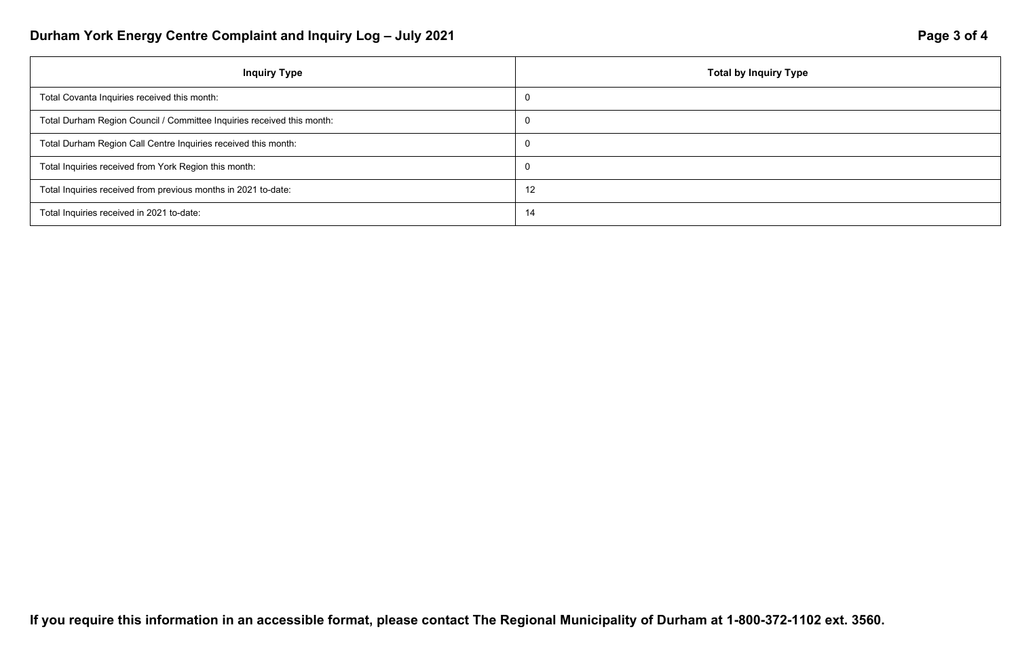### *Inquiry Type*

# Durham York Energy Centre Complaint and Inquiry Log - July 2021 **Page 3 of 4 Page 3 of 4**

| <b>Inquiry Type</b>                                                    | <b>Total by</b> |
|------------------------------------------------------------------------|-----------------|
| Total Covanta Inquiries received this month:                           | - 0             |
| Total Durham Region Council / Committee Inquiries received this month: | - 0             |
| Total Durham Region Call Centre Inquiries received this month:         | - 0             |
| Total Inquiries received from York Region this month:                  | - 0             |
| Total Inquiries received from previous months in 2021 to-date:         | 12              |
| Total Inquiries received in 2021 to-date:                              | 14              |